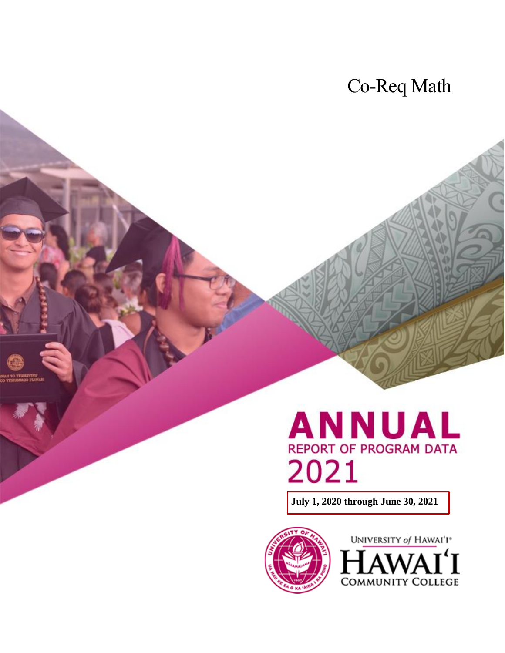## Co-Req Math

# ANNUAL REPORT OF PROGRAM DATA 2021

**July 1, 2020 through June 30, 2021**



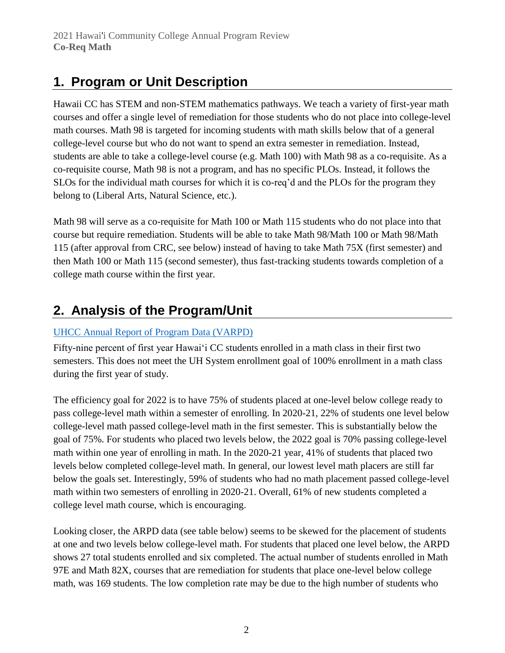### **1. Program or Unit Description**

Hawaii CC has STEM and non-STEM mathematics pathways. We teach a variety of first-year math courses and offer a single level of remediation for those students who do not place into college-level math courses. Math 98 is targeted for incoming students with math skills below that of a general college-level course but who do not want to spend an extra semester in remediation. Instead, students are able to take a college-level course (e.g. Math 100) with Math 98 as a co-requisite. As a co-requisite course, Math 98 is not a program, and has no specific PLOs. Instead, it follows the SLOs for the individual math courses for which it is co-req'd and the PLOs for the program they belong to (Liberal Arts, Natural Science, etc.).

Math 98 will serve as a co-requisite for Math 100 or Math 115 students who do not place into that course but require remediation. Students will be able to take Math 98/Math 100 or Math 98/Math 115 (after approval from CRC, see below) instead of having to take Math 75X (first semester) and then Math 100 or Math 115 (second semester), thus fast-tracking students towards completion of a college math course within the first year.

### **2. Analysis of the Program/Unit**

#### [UHCC Annual Report of Program Data \(VARPD\)](https://uhcc.hawaii.edu/varpd/)

Fifty-nine percent of first year Hawaiʻi CC students enrolled in a math class in their first two semesters. This does not meet the UH System enrollment goal of 100% enrollment in a math class during the first year of study.

The efficiency goal for 2022 is to have 75% of students placed at one-level below college ready to pass college-level math within a semester of enrolling. In 2020-21, 22% of students one level below college-level math passed college-level math in the first semester. This is substantially below the goal of 75%. For students who placed two levels below, the 2022 goal is 70% passing college-level math within one year of enrolling in math. In the 2020-21 year, 41% of students that placed two levels below completed college-level math. In general, our lowest level math placers are still far below the goals set. Interestingly, 59% of students who had no math placement passed college-level math within two semesters of enrolling in 2020-21. Overall, 61% of new students completed a college level math course, which is encouraging.

Looking closer, the ARPD data (see table below) seems to be skewed for the placement of students at one and two levels below college-level math. For students that placed one level below, the ARPD shows 27 total students enrolled and six completed. The actual number of students enrolled in Math 97E and Math 82X, courses that are remediation for students that place one-level below college math, was 169 students. The low completion rate may be due to the high number of students who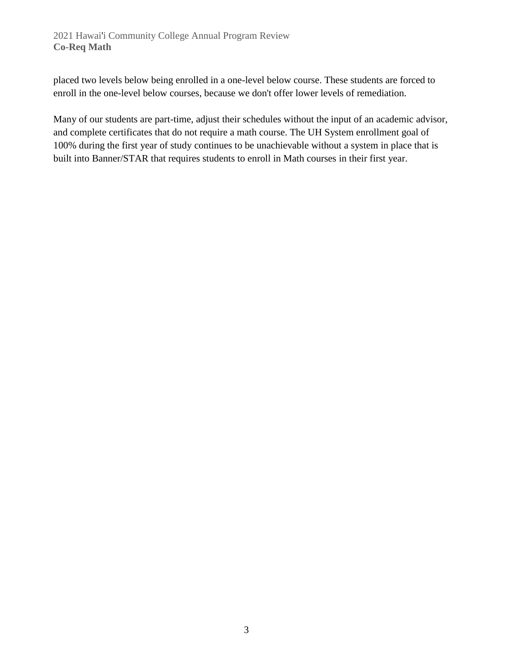placed two levels below being enrolled in a one-level below course. These students are forced to enroll in the one-level below courses, because we don't offer lower levels of remediation.

Many of our students are part-time, adjust their schedules without the input of an academic advisor, and complete certificates that do not require a math course. The UH System enrollment goal of 100% during the first year of study continues to be unachievable without a system in place that is built into Banner/STAR that requires students to enroll in Math courses in their first year.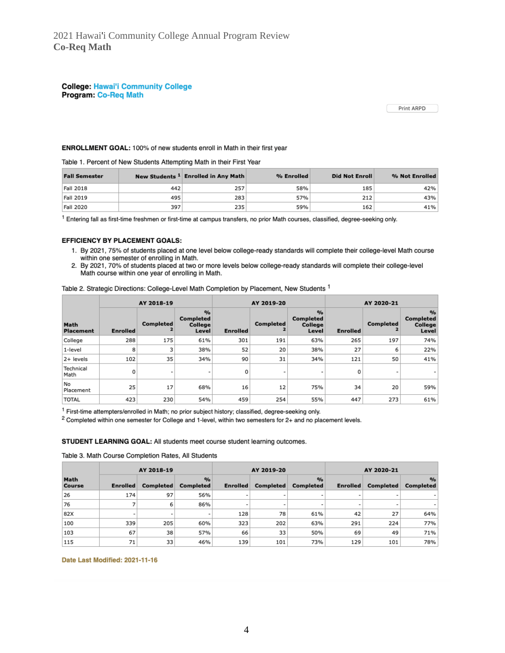**College: Hawai'i Community College** Program: Co-Req Math

Print ARPD

#### ENROLLMENT GOAL: 100% of new students enroll in Math in their first year

Table 1. Percent of New Students Attempting Math in their First Year

| <b>Fall Semester</b> |     | New Students <sup>1</sup> Enrolled in Any Math | % Enrolled | <b>Did Not Enroll</b> | % Not Enrolled |
|----------------------|-----|------------------------------------------------|------------|-----------------------|----------------|
| Fall 2018            | 442 | 257                                            | 58%        | 185                   | 42%            |
| Fall 2019            | 495 | 283                                            | 57%        | 212                   | 43%            |
| Fall 2020            | 397 | 235                                            | 59%        | 162                   | 41%            |

<sup>1</sup> Entering fall as first-time freshmen or first-time at campus transfers, no prior Math courses, classified, degree-seeking only.

#### EFFICIENCY BY PLACEMENT GOALS:

- 1. By 2021, 75% of students placed at one level below college-ready standards will complete their college-level Math course within one semester of enrolling in Math.
- 2. By 2021, 70% of students placed at two or more levels below college-ready standards will complete their college-level Math course within one year of enrolling in Math.

Table 2. Strategic Directions: College-Level Math Completion by Placement, New Students 1

|                          | AY 2018-19      |                          |                                                | AY 2019-20      |           |                                                       | AY 2020-21      |                          |                                                |
|--------------------------|-----------------|--------------------------|------------------------------------------------|-----------------|-----------|-------------------------------------------------------|-----------------|--------------------------|------------------------------------------------|
| Math<br><b>Placement</b> | <b>Enrolled</b> | <b>Completed</b>         | $\frac{9}{6}$<br>Completed<br>College<br>Level | <b>Enrolled</b> | Completed | $\frac{9}{6}$<br><b>Completed</b><br>College<br>Level | <b>Enrolled</b> | Completed<br>2           | $\frac{9}{6}$<br>Completed<br>College<br>Level |
| College                  | 288             | 175                      | 61%                                            | 301             | 191       | 63%                                                   | 265             | 197                      | 74%                                            |
| 1-level                  | 8               |                          | 38%                                            | 52              | 20        | 38%                                                   | 27              | 6                        | 22%                                            |
| 2+ levels                | 102             | 35                       | 34%                                            | 90              | 31        | 34%                                                   | 121             | 50                       | 41%                                            |
| Technical<br>Math        | 0               | $\overline{\phantom{a}}$ |                                                | 0               | ٠         | $\overline{\phantom{a}}$                              | 0               | $\overline{\phantom{a}}$ |                                                |
| No<br>Placement          | 25              | 17                       | 68%                                            | 16              | 12        | 75%                                                   | 34              | 20                       | 59%                                            |
| <b>TOTAL</b>             | 423             | 230                      | 54%                                            | 459             | 254       | 55%                                                   | 447             | 273                      | 61%                                            |

<sup>1</sup> First-time attempters/enrolled in Math; no prior subject history; classified, degree-seeking only.

<sup>2</sup> Completed within one semester for College and 1-level, within two semesters for 2+ and no placement levels.

STUDENT LEARNING GOAL: All students meet course student learning outcomes.

Table 3. Math Course Completion Rates, All Students

|                | AY 2018-19               |           |                            | AY 2019-20               |                          |                                   | AY 2020-21               |                          |                            |
|----------------|--------------------------|-----------|----------------------------|--------------------------|--------------------------|-----------------------------------|--------------------------|--------------------------|----------------------------|
| Math<br>Course | <b>Enrolled</b>          | Completed | $\frac{9}{6}$<br>Completed | <b>Enrolled</b>          | Completed                | $\frac{9}{6}$<br><b>Completed</b> | <b>Enrolled</b>          | Completed                | $\frac{9}{6}$<br>Completed |
| 26             | 174                      | 97        | 56%                        |                          | ٠                        | -                                 | $\overline{\phantom{a}}$ | ۰                        |                            |
| 76             |                          | 6         | 86%                        | $\overline{\phantom{a}}$ | $\overline{\phantom{a}}$ | $\overline{\phantom{0}}$          | $\overline{\phantom{0}}$ | $\overline{\phantom{a}}$ |                            |
| 82X            | $\overline{\phantom{0}}$ |           | $\overline{\phantom{a}}$   | 128                      | 78                       | 61%                               | 42                       | 27                       | 64%                        |
| 100            | 339                      | 205       | 60%                        | 323                      | 202                      | 63%                               | 291                      | 224                      | 77%                        |
| 103            | 67                       | 38        | 57%                        | 66                       | 33                       | 50%                               | 69                       | 49                       | 71%                        |
| 115            | 71                       | 33        | 46%                        | 139                      | 101                      | 73%                               | 129                      | 101                      | 78%                        |

Date Last Modified: 2021-11-16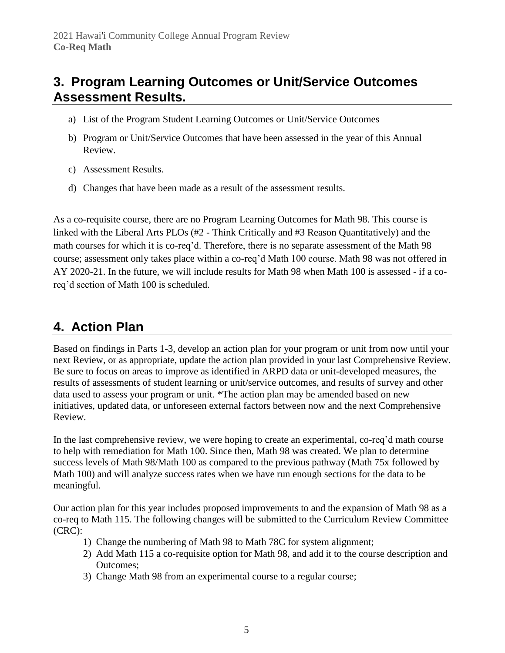### **3. Program Learning Outcomes or Unit/Service Outcomes Assessment Results.**

- a) List of the Program Student Learning Outcomes or Unit/Service Outcomes
- b) Program or Unit/Service Outcomes that have been assessed in the year of this Annual Review.
- c) Assessment Results.
- d) Changes that have been made as a result of the assessment results.

As a co-requisite course, there are no Program Learning Outcomes for Math 98. This course is linked with the Liberal Arts PLOs (#2 - Think Critically and #3 Reason Quantitatively) and the math courses for which it is co-req'd. Therefore, there is no separate assessment of the Math 98 course; assessment only takes place within a co-req'd Math 100 course. Math 98 was not offered in AY 2020-21. In the future, we will include results for Math 98 when Math 100 is assessed - if a coreq'd section of Math 100 is scheduled.

### **4. Action Plan**

Based on findings in Parts 1-3, develop an action plan for your program or unit from now until your next Review, or as appropriate, update the action plan provided in your last Comprehensive Review. Be sure to focus on areas to improve as identified in ARPD data or unit-developed measures, the results of assessments of student learning or unit/service outcomes, and results of survey and other data used to assess your program or unit. \*The action plan may be amended based on new initiatives, updated data, or unforeseen external factors between now and the next Comprehensive Review.

In the last comprehensive review, we were hoping to create an experimental, co-req'd math course to help with remediation for Math 100. Since then, Math 98 was created. We plan to determine success levels of Math 98/Math 100 as compared to the previous pathway (Math 75x followed by Math 100) and will analyze success rates when we have run enough sections for the data to be meaningful.

Our action plan for this year includes proposed improvements to and the expansion of Math 98 as a co-req to Math 115. The following changes will be submitted to the Curriculum Review Committee (CRC):

- 1) Change the numbering of Math 98 to Math 78C for system alignment;
- 2) Add Math 115 a co-requisite option for Math 98, and add it to the course description and Outcomes;
- 3) Change Math 98 from an experimental course to a regular course;